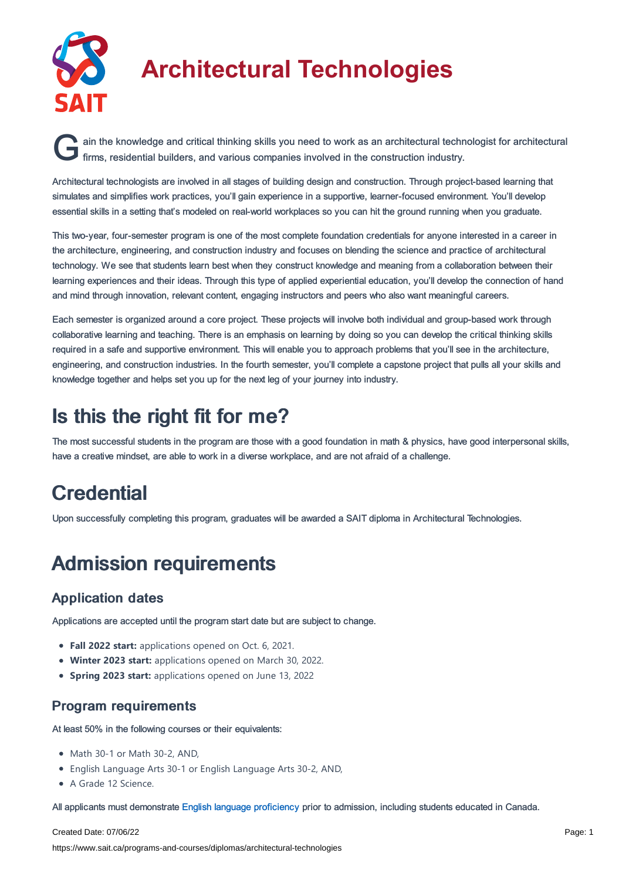

# **Architectural Technologies**

G ain the knowledge and critical thinking skills you need to work as an architectural techn<br>firms, residential builders, and various companies involved in the construction industry. ain the knowledge and critical thinking skills you need to work as an architectural technologist for architectural

Architectural technologists are involved in all stages of building design and construction. Through project-based learning that simulates and simplifies work practices, you'll gain experience in a supportive, learner-focused environment. You'll develop essential skills in a setting that's modeled on real-world workplaces so you can hit the ground running when you graduate.

This two-year, four-semester program is one of the most complete foundation credentials for anyone interested in a career in the architecture, engineering, and construction industry and focuses on blending the science and practice of architectural technology. We see that students learn best when they construct knowledge and meaning from a collaboration between their learning experiences and their ideas. Through this type of applied experiential education, you'll develop the connection of hand and mind through innovation, relevant content, engaging instructors and peers who also want meaningful careers.

Each semester is organized around a core project. These projects will involve both individual and group-based work through collaborative learning and teaching. There is an emphasis on learning by doing so you can develop the critical thinking skills required in a safe and supportive environment. This will enable you to approach problems that you'll see in the architecture, engineering, and construction industries. In the fourth semester, you'll complete a capstone project that pulls all your skills and knowledge together and helps set you up for the next leg of your journey into industry.

### Is this the right fit for me?

The most successful students in the program are those with a good foundation in math & physics, have good interpersonal skills, have a creative mindset, are able to work in a diverse workplace, and are not afraid of a challenge.

## **Credential**

Upon successfully completing this program, graduates will be awarded a SAIT diploma in Architectural Technologies.

## Admission requirements

### Application dates

Applications are accepted until the program start date but are subject to change.

- **Fall 2022 start:** applications opened on Oct. 6, 2021.
- **Winter 2023 start:** applications opened on March 30, 2022.
- **Spring 2023 start:** applications opened on June 13, 2022

### Program requirements

At least 50% in the following courses or their equivalents:

- Math 30-1 or Math 30-2, AND,
- English Language Arts 30-1 or English Language Arts 30-2, AND,
- A Grade 12 Science.

All applicants must demonstrate English language [proficiency](https://www.sait.ca/admissions/before-you-apply/english-proficiency) prior to admission, including students educated in Canada.

#### Created Date: 07/06/22

https://www.sait.ca/programs-and-courses/diplomas/architectural-technologies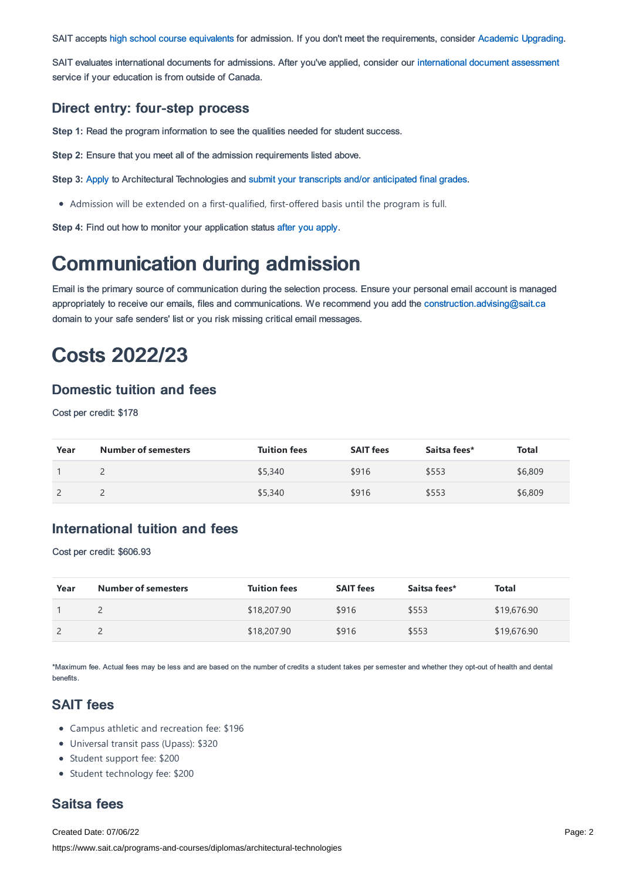SAIT accepts high school course [equivalents](https://www.sait.ca/admissions/before-you-apply/high-school-course-equivalencies) for admission. If you don't meet the requirements, consider Academic [Upgrading.](https://www.sait.ca/programs-and-courses/academic-upgrading)

SAIT evaluates international documents for admissions. After you've applied, consider our [international](https://www.sait.ca/admissions/after-you-apply/international-document-assessment) document assessment service if your education is from outside of Canada.

#### Direct entry: four-step process

**Step 1:** Read the program information to see the qualities needed for student success.

**Step 2:** Ensure that you meet all of the admission requirements listed above.

**Step 3:** [Apply](https://www.sait.ca/admissions/apply) to Architectural Technologies and submit your transcripts and/or [anticipated](https://www.sait.ca/admissions/after-you-apply/transcripts-and-supporting-documents) final grades.

Admission will be extended on a first-qualified, first-offered basis until the program is full.

**Step 4:** Find out how to monitor your application status after you [apply](https://www.sait.ca/admissions/after-you-apply/tracking-your-application).

### Communication during admission

Email is the primary source of communication during the selection process. Ensure your personal email account is managed appropriately to receive our emails, files and communications. We recommend you add the [construction.advising@sait.ca](https://sait.camailto:business.advising@sait.ca) domain to your safe senders' list or you risk missing critical email messages.

### Costs 2022/23

### Domestic tuition and fees

Cost per credit: \$178

| Year | <b>Number of semesters</b> | <b>Tuition fees</b> | <b>SAIT fees</b> | Saitsa fees* | Total   |
|------|----------------------------|---------------------|------------------|--------------|---------|
|      |                            | \$5,340             | \$916            | \$553        | \$6,809 |
|      |                            | \$5,340             | \$916            | \$553        | \$6,809 |

### International tuition and fees

Cost per credit: \$606.93

| Year | <b>Number of semesters</b> | <b>Tuition fees</b> | <b>SAIT fees</b> | Saitsa fees* | Total       |
|------|----------------------------|---------------------|------------------|--------------|-------------|
|      |                            | \$18,207.90         | \$916            | \$553        | \$19,676.90 |
|      |                            | \$18,207.90         | \$916            | \$553        | \$19,676.90 |

\*Maximum fee. Actual fees may be less and are based on the number of credits a student takes per semester and whether they opt-out of health and dental benefits.

### SAIT fees

- Campus athletic and recreation fee: \$196
- Universal transit pass (Upass): \$320
- Student support fee: \$200
- Student technology fee: \$200

### Saitsa fees

Created Date: 07/06/22 https://www.sait.ca/programs-and-courses/diplomas/architectural-technologies